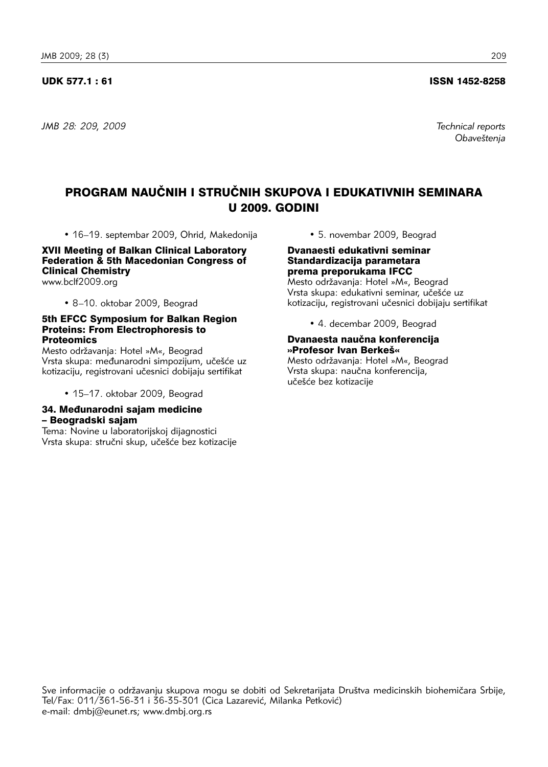#### UDK 577.1 : 61 ISSN 1452-8258

*JMB 28: 209, 2009 Technical reports* 

*Obave{tenja* 

# PROGRAM NAUČNIH I STRUČNIH SKUPOVA I EDUKATIVNIH SEMINARA U 2009. GODINI

• 16–19. septembar 2009, Ohrid, Makedonija

XVII Meeting of Balkan Clinical Laboratory Federation & 5th Macedonian Congress of Clinical Chemistry www.bclf2009.org

• 8–10. oktobar 2009, Beograd

#### 5th EFCC Symposium for Balkan Region Proteins: From Electrophoresis to **Proteomics**

Mesto održavanja: Hotel »M«, Beograd Vrsta skupa: međunarodni simpozijum, učešće uz kotizaciju, registrovani učesnici dobijaju sertifikat

• 15–17. oktobar 2009, Beograd

#### 34. Međunarodni sajam medicine – Beogradski sajam

Tema: Novine u laboratorijskoj dijagnostici Vrsta skupa: stručni skup, učešće bez kotizacije • 5. novembar 2009, Beograd

Dvanaesti edukativni seminar Standardizacija parametara prema preporukama IFCC

Mesto održavanja: Hotel »M«, Beograd Vrsta skupa: edukativni seminar, učešće uz kotizaciju, registrovani učesnici dobijaju sertifikat

• 4. decembar 2009, Beograd

#### Dvanaesta naučna konferencija »Profesor Ivan Berkeš«

Mesto održavanja: Hotel »M«, Beograd Vrsta skupa: naučna konferencija, učešće bez kotizacije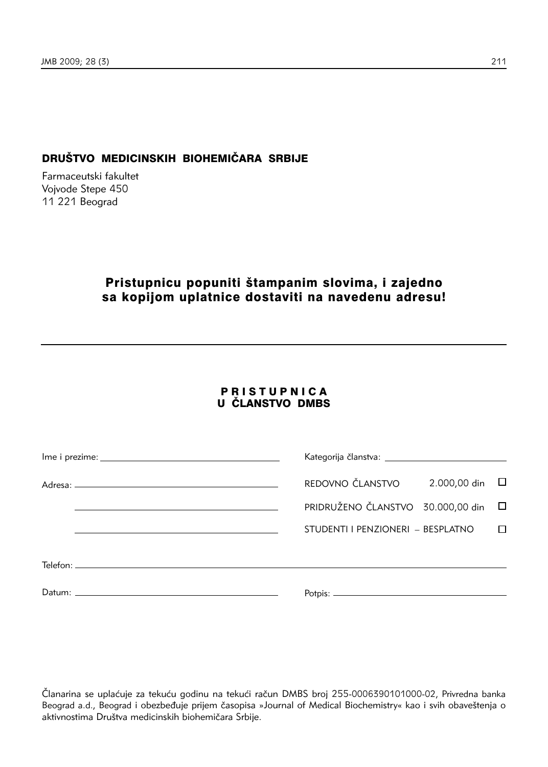## DRUŠTVO MEDICINSKIH BIOHEMIČARA SRBIJE

Farmaceutski fakultet Vojvode Stepe 450 11 221 Beograd

# Pristupnicu popuniti štampanim slovima, i zajedno sa kopijom uplatnice dostaviti na navedenu adresu!

### PRISTUPNICA **U ČLANSTVO DMBS**

|  | 2.000,00 din □<br>REDOVNO ČLANSTVO  |        |
|--|-------------------------------------|--------|
|  | PRIDRUŽENO ČLANSTVO 30.000,00 din □ |        |
|  | STUDENTI I PENZIONERI - BESPLATNO   | $\Box$ |
|  |                                     |        |
|  |                                     |        |

Članarina se uplaćuje za tekuću godinu na tekući račun DMBS broj 255-0006390101000-02, Privredna banka Beograd a.d., Beograd i obezbeđuje prijem časopisa »Journal of Medical Biochemistry« kao i svih obaveštenja o aktivnostima Društva medicinskih biohemičara Srbije.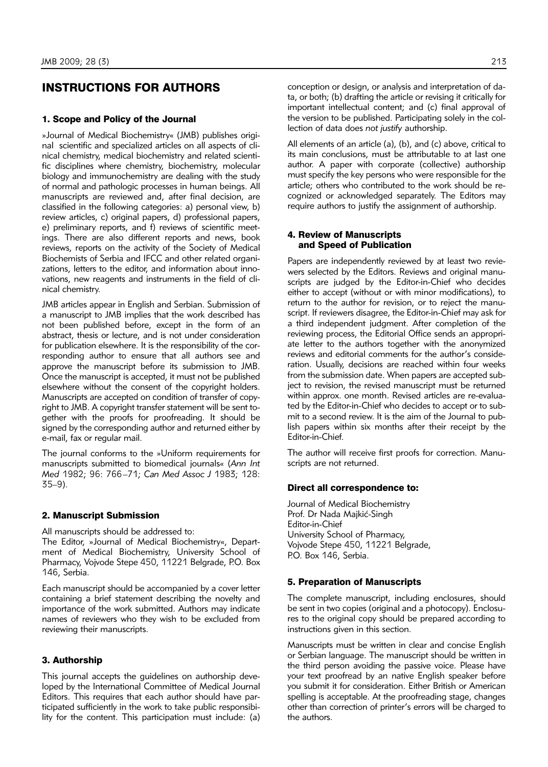### INSTRUCTIONS FOR AUTHORS

#### 1. Scope and Policy of the Journal

»Journal of Medical Biochemistry« (JMB) publishes original scientific and specialized articles on all aspects of clinical chemistry, medical biochemistry and related scientific disciplines where chemistry, biochemistry, molecular biology and immunochemistry are dealing with the study of normal and pathologic processes in human beings. All manuscripts are reviewed and, after final decision, are classified in the following categories: a) personal view, b) review articles, c) original papers, d) professional papers, e) preliminary reports, and f) reviews of scientific meetings. There are also different reports and news, book reviews, reports on the activity of the Society of Medical Biochemists of Serbia and IFCC and other related organizations, letters to the editor, and information about innovations, new reagents and instruments in the field of clinical chemistry.

JMB articles appear in English and Serbian. Submission of a manuscript to JMB implies that the work described has not been published before, except in the form of an abstract, thesis or lecture, and is not under consideration for publication elsewhere. It is the responsibility of the corresponding author to ensure that all authors see and approve the manuscript before its submission to JMB. Once the manuscript is accepted, it must not be published elsewhere without the consent of the copyright holders. Manuscripts are accepted on condition of transfer of copyright to JMB. A copyright transfer statement will be sent together with the proofs for proofreading. It should be signed by the corresponding author and returned either by e-mail, fax or regular mail.

The journal conforms to the »Uniform requirements for ma nu scripts submitted to biomedical journals« (*Ann Int Med* 1982; 96: 766–71; *Can Med Assoc J* 1983; 128: 35–9).

#### 2. Manuscript Submission

All manuscripts should be addressed to:

The Editor, »Journal of Medical Biochemistry«, Department of Medical Biochemistry, University School of Pharmacy, Vojvode Stepe 450, 11221 Belgrade, P.O. Box 146, Serbia.

Each manuscript should be accompanied by a cover letter containing a brief statement describing the novelty and importance of the work submitted. Authors may indicate names of reviewers who they wish to be excluded from reviewing their manuscripts.

#### 3. Authorship

This journal accepts the guidelines on authorship developed by the International Committee of Medical Journal Editors. This requires that each author should have participated sufficiently in the work to take public responsibility for the content. This participation must include: (a) conception or design, or analysis and interpretation of data, or both; (b) drafting the article or revising it critically for important intellectual content; and (c) final approval of the version to be published. Participating solely in the collection of data does *not justify* authorship.

All elements of an article (a), (b), and (c) above, critical to its main conclusions, must be attributable to at last one author. A paper with corporate (collective) authorship must specify the key persons who were responsible for the article; others who contributed to the work should be recognized or acknowledged separately. The Editors may require authors to justify the assignment of authorship.

#### 4. Review of Manuscripts and Speed of Publication

Papers are independently reviewed by at least two reviewers selected by the Editors. Reviews and original manuscripts are judged by the Editor-in-Chief who decides either to accept (without or with minor modifications), to return to the author for revision, or to reject the manuscript. If reviewers disagree, the Editor-in-Chief may ask for a third independent judgment. After completion of the reviewing process, the Editorial Office sends an appropriate letter to the authors together with the anonymized reviews and editorial comments for the author's conside ration. Usually, decisions are reached within four weeks from the submission date. When papers are accepted subject to revision, the revised manuscript must be returned within approx. one month. Revised articles are re-evaluated by the Editor-in-Chief who decides to accept or to submit to a second review. It is the aim of the Journal to publish papers within six months after their receipt by the Editor-in-Chief.

The author will receive first proofs for correction. Manuscripts are not returned.

#### Direct all correspondence to:

Journal of Medical Biochemistry Prof. Dr Nada Majkić-Singh Editor-in-Chief University School of Pharmacy, Vojvode Stepe 450, 11221 Belgrade, P.O. Box 146, Serbia.

#### 5. Preparation of Manuscripts

The complete manuscript, including enclosures, should be sent in two copies (original and a photocopy). Enclosures to the original copy should be prepared according to instructions given in this section.

Manuscripts must be written in clear and concise English or Serbian language. The manuscript should be written in the third person avoiding the passive voice. Please have your text proofread by an native English speaker before you submit it for consideration. Either British or American spelling is acceptable. At the proofreading stage, changes other than correction of printer's errors will be charged to the authors.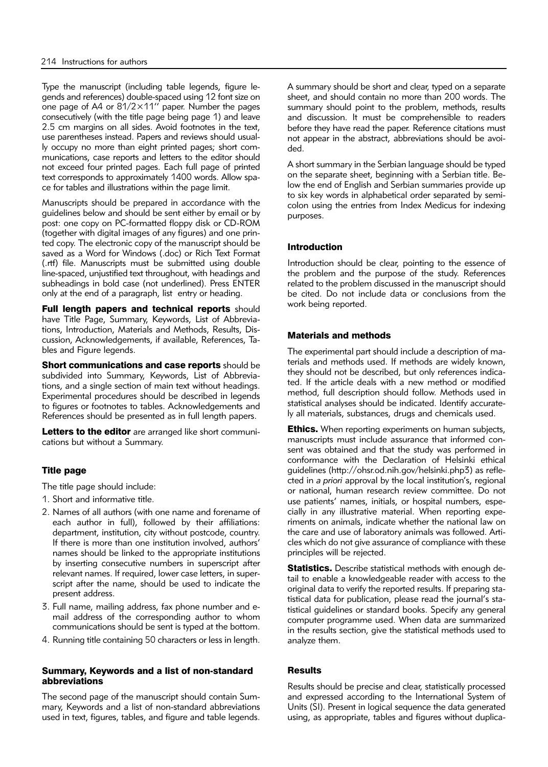Type the manuscript (including table legends, figure legends and references) double-spaced using 12 font size on one page of A4 or 81/2×11" paper. Number the pages consecutively (with the title page being page 1) and leave 2.5 cm margins on all sides. Avoid footnotes in the text, use parentheses instead. Papers and reviews should usually occupy no more than eight printed pages; short communications, case reports and letters to the editor should not exceed four printed pages. Each full page of printed text corresponds to approximately 1400 words. Allow space for tables and illustrations within the page limit.

Manuscripts should be prepared in accordance with the guidelines below and should be sent either by email or by post: one copy on PC-formatted floppy disk or CD-ROM (together with digital images of any figures) and one printed copy. The electronic copy of the manuscript should be saved as a Word for Windows (.doc) or Rich Text Format (.rtf) file. Manuscripts must be submitted using double line-spaced, unjustified text throughout, with headings and subheadings in bold case (not underlined). Press ENTER only at the end of a paragraph, list entry or heading.

Full length papers and technical reports should have Title Page, Summary, Keywords, List of Abbreviations, Introduction, Materials and Methods, Results, Discussion, Acknowledgements, if available, References, Tables and Figure legends.

Short communications and case reports should be subdivided into Summary, Keywords, List of Abbreviations, and a single section of main text without headings. Experimental procedures should be described in legends to figures or footnotes to tables. Acknowled gements and References should be presented as in full length papers.

Letters to the editor are arranged like short communications but without a Summary.

### Title page

The title page should include:

- 1. Short and informative title.
- 2. Names of all authors (with one name and forename of each author in full), followed by their affiliations: department, institution, city without postcode, country. If there is more than one institution involved, authors' names should be linked to the appropriate institutions by inserting consecutive numbers in superscript after relevant names. If required, lower case letters, in superscript after the name, should be used to indicate the present address.
- 3. Full name, mailing address, fax phone number and email address of the corresponding author to whom communications should be sent is typed at the bottom.
- 4. Running title containing 50 characters or less in length.

#### Summary, Keywords and a list of non-standard abbreviations

The second page of the manuscript should contain Summary, Keywords and a list of non-standard abbreviations used in text, figures, tables, and figure and table legends. A summary should be short and clear, typed on a separate sheet, and should contain no more than 200 words. The summary should point to the problem, methods, results and discussion. It must be comprehensible to readers before they have read the paper. Reference citations must not appear in the abstract, abbreviations should be avoided.

A short summary in the Serbian language should be typed on the separate sheet, beginning with a Serbian title. Be low the end of English and Serbian summaries provide up to six key words in alphabetical order separated by semicolon using the entries from Index Medicus for indexing purposes.

#### Introduction

Introduction should be clear, pointing to the essence of the problem and the purpose of the study. References related to the problem discussed in the manuscript should be cited. Do not include data or conclusions from the work being reported.

#### Materials and methods

The experimental part should include a description of materials and methods used. If methods are widely known, they should not be described, but only references indicated. If the article deals with a new method or modified method, full description should follow. Methods used in statistical analyses should be indicated. Identify accurately all materials, substances, drugs and chemicals used.

**Ethics.** When reporting experiments on human subjects, manuscripts must include assurance that informed consent was obtained and that the study was performed in conformance with the Declaration of Helsinki ethical guidelines (http://ohsr.od.nih.gov/helsinki.php3) as reflected in *a priori* approval by the local institution's, regional or national, human research review committee. Do not use patients' names, initials, or hospital numbers, especially in any illustrative material. When reporting experiments on animals, indicate whether the national law on the care and use of laboratory animals was followed. Articles which do not give assurance of compliance with these principles will be rejected.

Statistics. Describe statistical methods with enough detail to enable a knowledgeable reader with access to the original data to verify the reported results. If preparing statistical data for publication, please read the journal's statistical guidelines or standard books. Specify any general computer programme used. When data are summarized in the results section, give the statistical methods used to analyze them.

#### **Results**

Results should be precise and clear, statistically processed and expressed according to the International System of Units (SI). Present in logical sequence the data generated using, as appropriate, tables and figures without duplica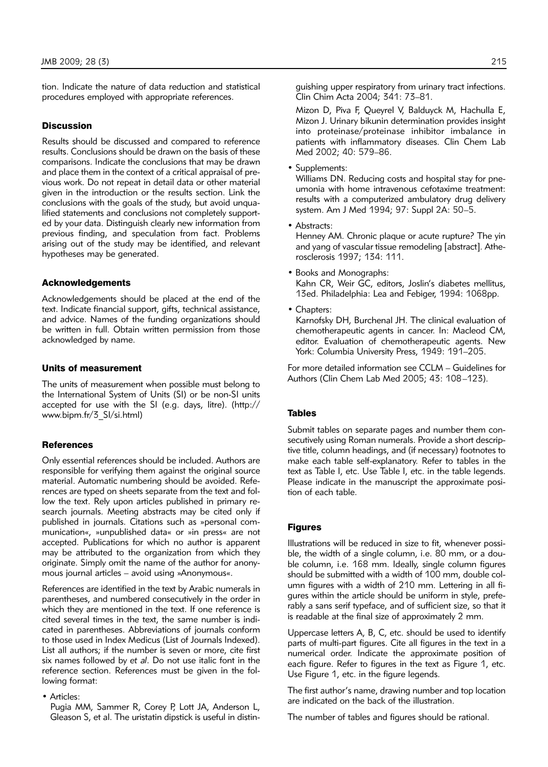tion. Indicate the nature of data reduction and statistical procedures employed with appropriate references.

#### **Discussion**

Results should be discussed and compared to reference results. Conclusions should be drawn on the basis of these comparisons. Indicate the conclusions that may be drawn and place them in the context of a critical appraisal of previous work. Do not repeat in detail data or other material given in the introduction or the results section. Link the conclusions with the goals of the study, but avoid unqualified statements and conclusions not completely supported by your data. Distinguish clearly new information from previous finding, and speculation from fact. Problems arising out of the study may be identified, and relevant hypotheses may be generated.

#### Acknowledgements

Acknowledgements should be placed at the end of the text. Indicate financial support, gifts, technical assistance, and advice. Names of the funding organizations should be written in full. Obtain written permission from those acknowledged by name.

#### Units of measurement

The units of measurement when possible must belong to the International System of Units (SI) or be non-SI units accepted for use with the SI (e.g. days, litre). (http:// www.bipm.fr/3\_SI/si.html)

#### **References**

Only essential references should be included. Authors are responsible for verifying them against the original source material. Automatic numbering should be avoided. References are typed on sheets separate from the text and follow the text. Rely upon articles published in primary research journals. Meeting abstracts may be cited only if published in journals. Citations such as »personal communication«, »unpublished data« or »in press« are not accepted. Publications for which no author is apparent may be attributed to the organization from which they originate. Simply omit the name of the author for anonymous journal articles – avoid using »Anonymous«.

References are identified in the text by Arabic numerals in parentheses, and numbered consecutively in the order in which they are mentioned in the text. If one reference is cited several times in the text, the same number is indicated in parentheses. Abbreviations of journals conform to those used in Index Medicus (List of Journals Indexed). List all authors; if the number is seven or more, cite first six names followed by *et al*. Do not use italic font in the reference section. References must be given in the following format:

• Articles:

Pugia MM, Sammer R, Corey P, Lott JA, Anderson L, Gleason S, et al. The uristatin dipstick is useful in distinguishing upper respiratory from urinary tract infections. Clin Chim Acta 2004; 341: 73–81.

Mizon D, Piva F, Queyrel V, Balduyck M, Hachulla E, Mizon J. Urinary bikunin determination provides insight into proteinase/proteinase inhibitor imbalance in patients with inflammatory diseases. Clin Chem Lab Med 2002; 40: 579–86.

• Supplements:

Williams DN. Reducing costs and hospital stay for pneumonia with home intravenous cefotaxime treatment: results with a computerized ambulatory drug delivery system. Am J Med 1994; 97: Suppl 2A: 50–5.

• Abstracts:

Henney AM. Chronic plaque or acute rupture? The yin and yang of vascular tissue remodeling [abstract]. Atherosclerosis 1997; 134: 111.

- Books and Monographs: Kahn CR, Weir GC, editors, Joslin's diabetes mellitus, 13ed. Philadelphia: Lea and Febiger, 1994: 1068pp.
- Chapters:

Karnofsky DH, Burchenal JH. The clinical evaluation of chemotherapeutic agents in cancer. In: Macleod CM, editor. Evaluation of chemotherapeutic agents. New York: Columbia University Press, 1949: 191–205.

For more detailed information see CCLM – Guidelines for Authors (Clin Chem Lab Med 2005; 43: 108–123).

#### Tables

Submit tables on separate pages and number them consecutively using Roman numerals. Provide a short descriptive title, column headings, and (if necessary) footnotes to make each table self-explanatory. Refer to tables in the text as Table I, etc. Use Table I, etc. in the table legends. Please indicate in the manuscript the approximate position of each table.

#### Figures

Illustrations will be reduced in size to fit, whenever possible, the width of a single column, i.e. 80 mm, or a double column, i.e. 168 mm. Ideally, single column figures should be submitted with a width of 100 mm, double column figures with a width of 210 mm. Lettering in all figures within the article should be uniform in style, preferably a sans serif typeface, and of sufficient size, so that it is readable at the final size of approximately 2 mm.

Uppercase letters A, B, C, etc. should be used to identify parts of multi-part figures. Cite all figures in the text in a numerical order. Indicate the approximate position of each figure. Refer to figures in the text as Figure 1, etc. Use Figure 1, etc. in the figure legends.

The first author's name, drawing number and top location are indicated on the back of the illustration.

The number of tables and figures should be rational.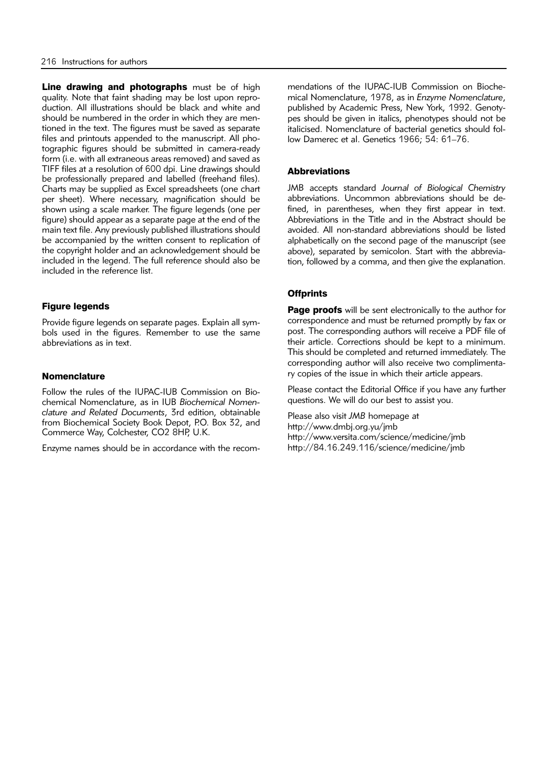Line drawing and photographs must be of high quality. Note that faint shading may be lost upon reproduction. All illustrations should be black and white and should be numbered in the order in which they are mentioned in the text. The figures must be saved as separate files and printouts appended to the manuscript. All photographic figures should be submitted in camera-ready form (i.e. with all extraneous areas removed) and saved as TIFF files at a resolution of 600 dpi. Line drawings should be professionally prepared and labelled (freehand files). Charts may be supplied as Excel spreadsheets (one chart per sheet). Where necessary, magnification should be shown using a scale marker. The figure legends (one per figure) should appear as a separate page at the end of the main text file. Any previously published illustrations should be accompanied by the written consent to replication of the copyright holder and an acknowledgement should be included in the legend. The full reference should also be included in the reference list.

#### Figure legends

Provide figure legends on separate pages. Explain all symbols used in the figures. Remember to use the same abbre viations as in text.

#### **Nomenclature**

Follow the rules of the IUPAC-IUB Commission on Bioche mical Nomenclature, as in IUB *Biochemical Nomen clature and Related Documents*, 3rd edition, obtainable from Biochemical Society Book Depot, P.O. Box 32, and Commerce Way, Colchester, CO2 8HP, U.K.

Enzyme names should be in accordance with the recom-

mendations of the IUPAC-IUB Commission on Biochemical Nomenclature, 1978, as in *Enzyme Nomenclature*, published by Academic Press, New York, 1992. Genotypes should be given in italics, phenotypes should not be italicised. Nomenclature of bacterial genetics should follow Damerec et al. Genetics 1966; 54: 61–76.

#### **Abbreviations**

JMB accepts standard *Journal of Biological Chemistry* abbreviations. Uncommon abbreviations should be defined, in parentheses, when they first appear in text. Abbreviations in the Title and in the Abstract should be avoided. All non-standard abbreviations should be listed alphabetically on the second page of the manuscript (see above), separated by semicolon. Start with the abbreviation, followed by a comma, and then give the explanation.

#### **Offprints**

Page proofs will be sent electronically to the author for correspondence and must be returned promptly by fax or post. The corresponding authors will receive a PDF file of their article. Corrections should be kept to a minimum. This should be completed and returned immediately. The corresponding author will also receive two complimentary copies of the issue in which their article appears.

Please contact the Editorial Office if you have any further questions. We will do our best to assist you.

Please also visit *JMB* homepage at http://www.dmbj.org.yu/jmb http://www.versita.com/science/medicine/jmb http://84.16.249.116/science/medicine/jmb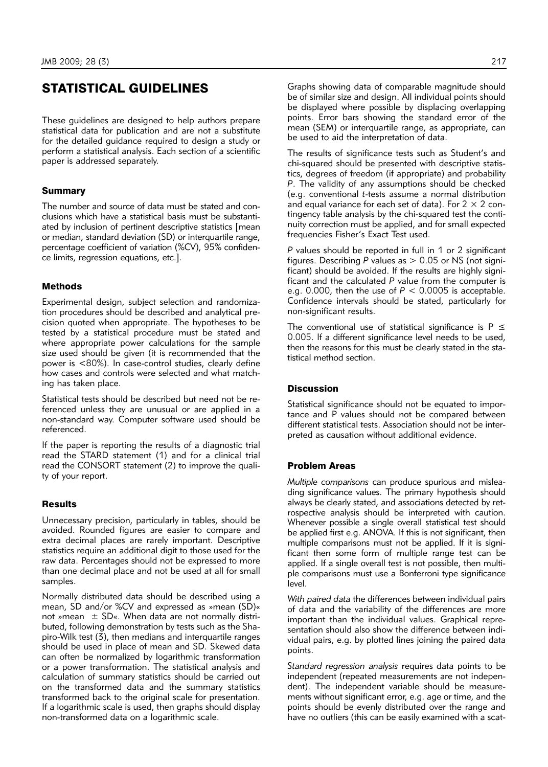# STATISTICAL GUIDELINES

These guidelines are designed to help authors prepare statistical data for publication and are not a substitute for the detailed guidance required to design a study or perform a statistical analysis. Each section of a scientific paper is addressed separately.

#### **Summary**

The number and source of data must be stated and conclusions which have a statistical basis must be substantiated by inclusion of pertinent descriptive statistics [mean or median, standard deviation (SD) or interquartile range, percentage coefficient of variation (%CV), 95% confidence limits, regression equations, etc.].

#### Methods

Experimental design, subject selection and randomization procedures should be described and analytical precision quoted when appropriate. The hypotheses to be tested by a statistical procedure must be stated and where appropriate power calculations for the sample size used should be given (it is recommended that the power is <80%). In case-control studies, clearly define how cases and controls were selected and what matching has taken place.

Statistical tests should be described but need not be referenced unless they are unusual or are applied in a non-standard way. Computer software used should be referenced.

If the paper is reporting the results of a diagnostic trial read the STARD statement (1) and for a clinical trial read the CONSORT statement (2) to improve the quality of your report.

#### **Results**

Unnecessary precision, particularly in tables, should be avoided. Rounded figures are easier to compare and extra decimal places are rarely important. Descriptive statistics require an additional digit to those used for the raw data. Percentages should not be expressed to more than one decimal place and not be used at all for small samples.

Normally distributed data should be described using a mean, SD and/or %CV and expressed as »mean (SD)« not »mean  $\pm$  SD«. When data are not normally distributed, following demonstration by tests such as the Shapiro-Wilk test  $(3)$ , then medians and interquartile ranges should be used in place of mean and SD. Skewed data can often be normalized by logarithmic transformation or a power transformation. The statistical analysis and calculation of summary statistics should be carried out on the transformed data and the summary statistics transformed back to the original scale for presentation. If a logarithmic scale is used, then graphs should display non-transformed data on a logarithmic scale.

Graphs showing data of comparable magnitude should be of similar size and design. All individual points should be displayed where possible by displacing overlapping points. Error bars showing the standard error of the mean (SEM) or interquartile range, as appropriate, can be used to aid the interpretation of data.

The results of significance tests such as Student's and chi-squared should be presented with descriptive statistics, degrees of freedom (if appropriate) and probability *P*. The validity of any assumptions should be checked (e.g. conventional *t*-tests assume a normal distribution and equal variance for each set of data). For  $2 \times 2$  contingency table analysis by the chi-squared test the continuity correction must be applied, and for small expected frequencies Fisher's Exact Test used.

*P* values should be reported in full in 1 or 2 significant figures. Describing  $P$  values as  $> 0.05$  or NS (not significant) should be avoided. If the results are highly significant and the calculated *P* value from the computer is e.g. 0.000, then the use of  $P < 0.0005$  is acceptable. Confidence intervals should be stated, particularly for non-significant results.

The conventional use of statistical significance is  $P \leq$ 0.005. If a different significance level needs to be used, then the reasons for this must be clearly stated in the statistical method section.

#### **Discussion**

Statistical significance should not be equated to importance and P values should not be compared between different statistical tests. Association should not be interpreted as causation without additional evidence.

#### Problem Areas

*Multiple comparisons* can produce spurious and misleading significance values. The primary hypothesis should always be clearly stated, and associations detected by retrospective analysis should be interpreted with caution. Whenever possible a single overall statistical test should be applied first e.g. ANOVA. If this is not significant, then multiple comparisons must not be applied. If it is significant then some form of multiple range test can be applied. If a single overall test is not possible, then multiple comparisons must use a Bonferroni type significance level.

*With paired data* the differences between individual pairs of data and the variability of the differences are more important than the individual values. Graphical representation should also show the difference between individual pairs, e.g. by plotted lines joining the paired data points.

*Standard regression analysis* requires data points to be independent (repeated measurements are not independent). The independent variable should be measurements without significant error, e.g. age or time, and the points should be evenly distributed over the range and have no outliers (this can be easily examined with a scat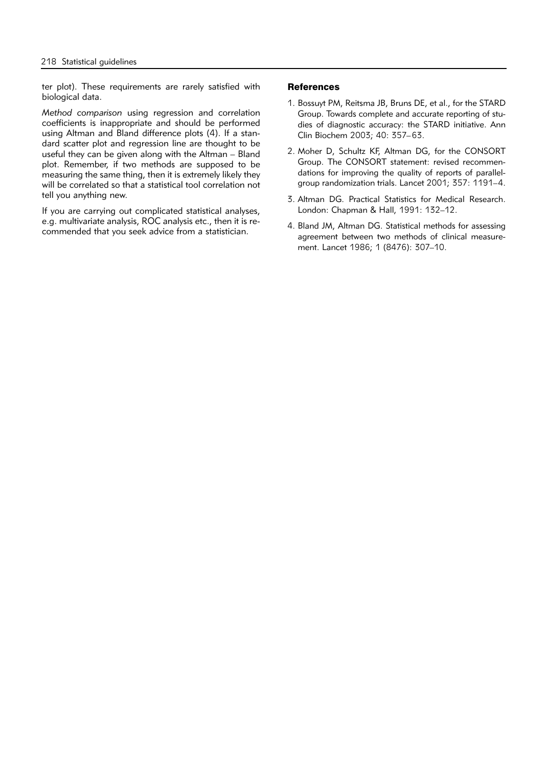ter plot). These requirements are rarely satisfied with biological data.

*Method comparison* using regression and correlation coefficients is inappropriate and should be performed using Altman and Bland difference plots (4). If a standard scatter plot and regression line are thought to be useful they can be given along with the Altman – Bland plot. Remember, if two methods are supposed to be measuring the same thing, then it is extremely likely they will be correlated so that a statistical tool correlation not tell you anything new.

If you are carrying out complicated statistical analyses, e.g. multivariate analysis, ROC analysis etc., then it is recommended that you seek advice from a statistician.

#### **References**

- 1. Bossuyt PM, Reitsma JB, Bruns DE, et al., for the STARD Group. Towards complete and accurate reporting of studies of diagnostic accuracy: the STARD initiative. Ann Clin Biochem 2003; 40: 357–63.
- 2. Moher D, Schultz KF, Altman DG, for the CONSORT Group. The CONSORT statement: revised recommendations for improving the quality of reports of parallelgroup randomization trials. Lancet 2001; 357: 1191–4.
- 3. Altman DG. Practical Statistics for Medical Research. London: Chapman & Hall, 1991: 132–12.
- 4. Bland JM, Altman DG. Statistical methods for assessing agreement between two methods of clinical measurement. Lancet 1986; 1 (8476): 307–10.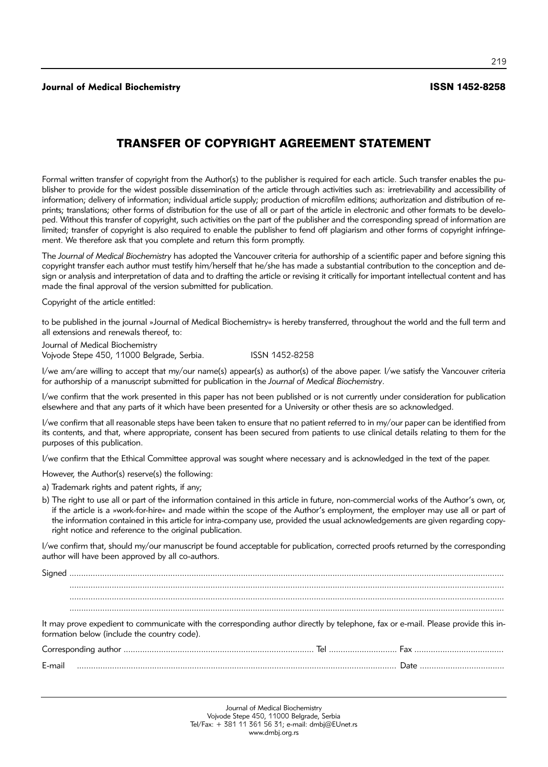**Journal of Medical Biochemistry** ISSN 1452-8258

219

# TRANSFER OF COPYRIGHT AGREEMENT STATEMENT

Formal written transfer of copyright from the Author(s) to the publisher is required for each article. Such transfer enables the publisher to provide for the widest possible dissemination of the article through activities such as: irretrievability and accessibility of information; delivery of information; individual article supply; production of microfilm editions; authorization and distribution of reprints; translations; other forms of distribution for the use of all or part of the article in electronic and other formats to be developed. Without this transfer of copyright, such activities on the part of the publisher and the corresponding spread of information are limited; transfer of copyright is also required to enable the publisher to fend off plagiarism and other forms of copyright infringement. We therefore ask that you complete and return this form promptly.

The *Journal of Medical Biochemistry* has adopted the Vancouver criteria for authorship of a scientific paper and before signing this copyright transfer each author must testify him/herself that he/she has made a substantial contribution to the conception and design or analysis and interpretation of data and to drafting the article or revising it critically for important intellectual content and has made the final approval of the version submitted for publication.

Copyright of the article entitled:

to be published in the journal »Journal of Medical Biochemistry« is hereby transferred, throughout the world and the full term and all extensions and renewals thereof, to:

Journal of Medical Biochemistry Vojvode Stepe 450, 11000 Belgrade, Serbia. ISSN 1452-8258

I/we am/are willing to accept that my/our name(s) appear(s) as author(s) of the above paper. I/we satisfy the Vancouver criteria for authorship of a manuscript submitted for publication in the *Journal of Medical Biochemistry*.

I/we confirm that the work presented in this paper has not been published or is not currently under consideration for publication elsewhere and that any parts of it which have been presented for a University or other thesis are so acknowledged.

I/we confirm that all reasonable steps have been taken to ensure that no patient referred to in my/our paper can be identified from its contents, and that, where appropriate, consent has been secured from patients to use clinical details relating to them for the purposes of this publication.

I/we confirm that the Ethical Committee approval was sought where necessary and is acknowledged in the text of the paper.

However, the Author(s) reserve(s) the following:

a) Trademark rights and patent rights, if any;

b) The right to use all or part of the information contained in this article in future, non-commercial works of the Author's own, or, if the article is a »work-for-hire« and made within the scope of the Author's employment, the employer may use all or part of the information contained in this article for intra-company use, provided the usual acknowledgements are given regarding copyright notice and reference to the original publication.

I/we confirm that, should my/our manuscript be found acceptable for publication, corrected proofs returned by the corresponding author will have been approved by all co-authors.

Sig ned ......................................................................................................................................................................................... ......................................................................................................................................................................................... ......................................................................................................................................................................................... It may prove expedient to communicate with the corresponding author directly by telephone, fax or e-mail. Please provide this information below (include the country code). Cor re spon ding aut hor ................................................................................. Tel ............................. Fax ...................................... E-mail ........................................................................................................................................ Da te ....................................